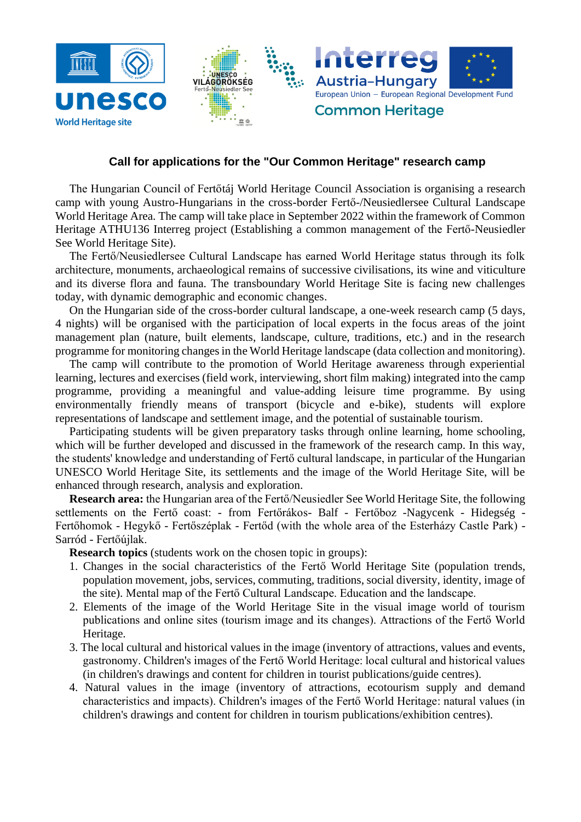

## **Call for applications for the "Our Common Heritage" research camp**

The Hungarian Council of Fertőtáj World Heritage Council Association is organising a research camp with young Austro-Hungarians in the cross-border Fertő-/Neusiedlersee Cultural Landscape World Heritage Area. The camp will take place in September 2022 within the framework of Common Heritage ATHU136 Interreg project (Establishing a common management of the Fertő-Neusiedler See World Heritage Site).

The Fertő/Neusiedlersee Cultural Landscape has earned World Heritage status through its folk architecture, monuments, archaeological remains of successive civilisations, its wine and viticulture and its diverse flora and fauna. The transboundary World Heritage Site is facing new challenges today, with dynamic demographic and economic changes.

On the Hungarian side of the cross-border cultural landscape, a one-week research camp (5 days, 4 nights) will be organised with the participation of local experts in the focus areas of the joint management plan (nature, built elements, landscape, culture, traditions, etc.) and in the research programme for monitoring changes in the World Heritage landscape (data collection and monitoring).

The camp will contribute to the promotion of World Heritage awareness through experiential learning, lectures and exercises (field work, interviewing, short film making) integrated into the camp programme, providing a meaningful and value-adding leisure time programme. By using environmentally friendly means of transport (bicycle and e-bike), students will explore representations of landscape and settlement image, and the potential of sustainable tourism.

Participating students will be given preparatory tasks through online learning, home schooling, which will be further developed and discussed in the framework of the research camp. In this way, the students' knowledge and understanding of Fertő cultural landscape, in particular of the Hungarian UNESCO World Heritage Site, its settlements and the image of the World Heritage Site, will be enhanced through research, analysis and exploration.

**Research area:** the Hungarian area of the Fertő/Neusiedler See World Heritage Site, the following settlements on the Fertő coast: - from Fertőrákos- Balf - Fertőboz -Nagycenk - Hidegség - Fertőhomok - Hegykő - Fertőszéplak - Fertőd (with the whole area of the Esterházy Castle Park) - Sarród - Fertőújlak.

**Research topics** (students work on the chosen topic in groups):

- 1. Changes in the social characteristics of the Fertő World Heritage Site (population trends, population movement, jobs, services, commuting, traditions, social diversity, identity, image of the site). Mental map of the Fertő Cultural Landscape. Education and the landscape.
- 2. Elements of the image of the World Heritage Site in the visual image world of tourism publications and online sites (tourism image and its changes). Attractions of the Fertő World Heritage.
- 3. The local cultural and historical values in the image (inventory of attractions, values and events, gastronomy. Children's images of the Fertő World Heritage: local cultural and historical values (in children's drawings and content for children in tourist publications/guide centres).
- 4. Natural values in the image (inventory of attractions, ecotourism supply and demand characteristics and impacts). Children's images of the Fertő World Heritage: natural values (in children's drawings and content for children in tourism publications/exhibition centres).